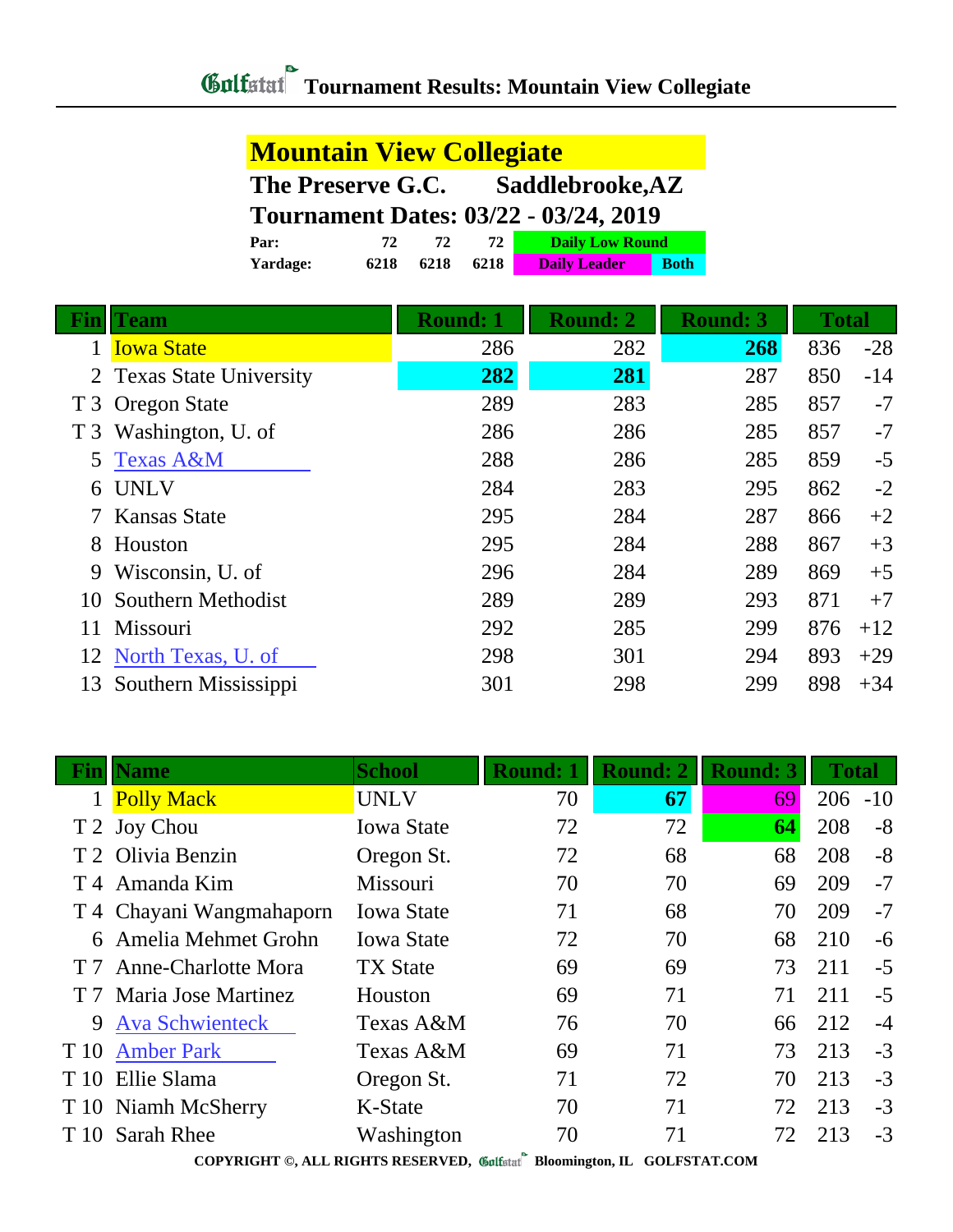| <b>Mountain View Collegiate</b>              |      |      |      |                        |             |  |  |
|----------------------------------------------|------|------|------|------------------------|-------------|--|--|
| Saddlebrooke, AZ<br>The Preserve G.C.        |      |      |      |                        |             |  |  |
| <b>Tournament Dates: 03/22 - 03/24, 2019</b> |      |      |      |                        |             |  |  |
| Par:                                         | 72.  | 72   | 72   | <b>Daily Low Round</b> |             |  |  |
| Yardage:                                     | 6218 | 6218 | 6218 | <b>Daily Leader</b>    | <b>Both</b> |  |  |

|                | <b>Team</b>              | <b>Round: 1</b> | <b>Round: 2</b><br><b>Round: 3</b> |     | <b>Total</b> |       |
|----------------|--------------------------|-----------------|------------------------------------|-----|--------------|-------|
|                | <b>Iowa State</b>        | 286             | 282                                | 268 | 836          | $-28$ |
|                | 2 Texas State University | 282             | 281                                | 287 | 850          | $-14$ |
|                | T 3 Oregon State         | 289             | 283                                | 285 | 857          | $-7$  |
| T <sub>3</sub> | Washington, U. of        | 286             | 286                                | 285 | 857          | $-7$  |
| 5              | <b>Texas A&amp;M</b>     | 288             | 286                                | 285 | 859          | $-5$  |
| 6              | <b>UNLV</b>              | 284             | 283                                | 295 | 862          | $-2$  |
|                | <b>Kansas State</b>      | 295             | 284                                | 287 | 866          | $+2$  |
| 8              | Houston                  | 295             | 284                                | 288 | 867          | $+3$  |
| 9              | Wisconsin, U. of         | 296             | 284                                | 289 | 869          | $+5$  |
| 10             | Southern Methodist       | 289             | 289                                | 293 | 871          | $+7$  |
| 11             | Missouri                 | 292             | 285                                | 299 | 876          | $+12$ |
| 12             | North Texas, U. of       | 298             | 301                                | 294 | 893          | $+29$ |
| 13             | Southern Mississippi     | 301             | 298                                | 299 | 898          | $+34$ |

| Fin  | <b>Name</b>               | <b>School</b>     | <b>Round: 1</b> | <b>Round: 2</b> | <b>Round: 3</b> | <b>Total</b> |      |
|------|---------------------------|-------------------|-----------------|-----------------|-----------------|--------------|------|
|      | <b>Polly Mack</b>         | <b>UNLV</b>       | 70              | 67              | 69              | $206 - 10$   |      |
|      | T 2 Joy Chou              | <b>Iowa State</b> | 72              | 72              | 64              | 208          | $-8$ |
|      | T 2 Olivia Benzin         | Oregon St.        | 72              | 68              | 68              | 208          | $-8$ |
|      | T <sub>4</sub> Amanda Kim | Missouri          | 70              | 70              | 69              | 209          | $-7$ |
|      | T 4 Chayani Wangmahaporn  | <b>Iowa State</b> | 71              | 68              | 70              | 209          | $-7$ |
|      | 6 Amelia Mehmet Grohn     | <b>Iowa State</b> | 72              | 70              | 68              | 210          | $-6$ |
|      | T 7 Anne-Charlotte Mora   | <b>TX State</b>   | 69              | 69              | 73              | 211          | $-5$ |
|      | T 7 Maria Jose Martinez   | Houston           | 69              | 71              | 71              | 211          | $-5$ |
| 9    | <b>Ava Schwienteck</b>    | Texas A&M         | 76              | 70              | 66              | 212          | $-4$ |
| T 10 | <b>Amber Park</b>         | Texas A&M         | 69              | 71              | 73              | 213          | $-3$ |
| T 10 | Ellie Slama               | Oregon St.        | 71              | 72              | 70              | 213          | $-3$ |
|      | T 10 Niamh McSherry       | K-State           | 70              | 71              | 72              | 213          | $-3$ |
|      | T 10 Sarah Rhee           | Washington        | 70              | 71              | 72              | 213          | $-3$ |

ſ

**COPYRIGHT ©, ALL RIGHTS RESERVED, Bloomington, IL GOLFSTAT.COM**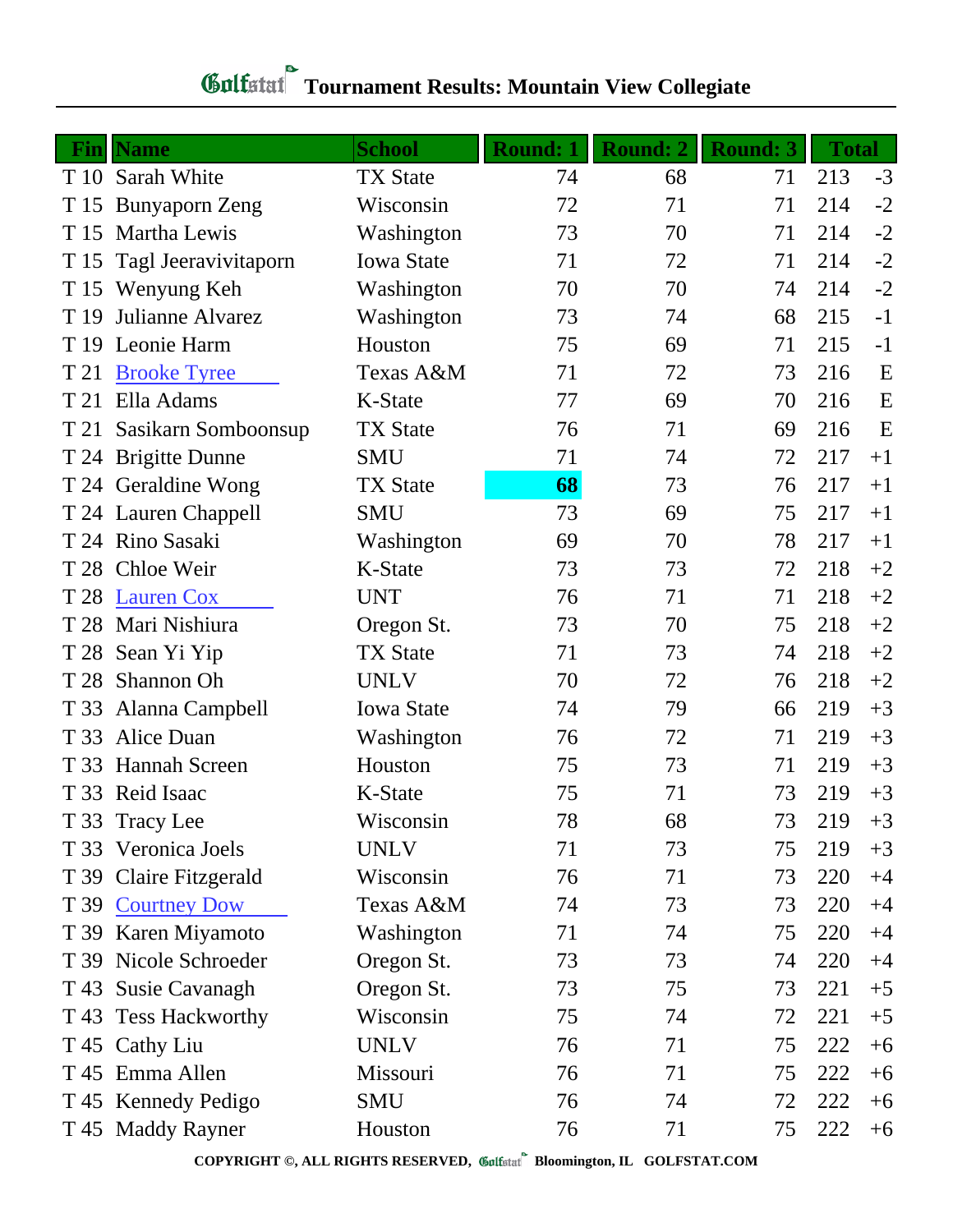## **Tournament Results: Mountain View Collegiate**

|      | <b>Fin</b> Name        | <b>School</b>     | <b>Round: 1</b> | <b>Round: 2</b> | <b>Round: 3</b> | <b>Total</b> |      |
|------|------------------------|-------------------|-----------------|-----------------|-----------------|--------------|------|
|      | T 10 Sarah White       | <b>TX State</b>   | 74              | 68              | 71              | 213          | $-3$ |
|      | T 15 Bunyaporn Zeng    | Wisconsin         | 72              | 71              | 71              | 214          | $-2$ |
|      | T 15 Martha Lewis      | Washington        | 73              | 70              | 71              | 214          | $-2$ |
| T 15 | Tagl Jeeravivitaporn   | <b>Iowa State</b> | 71              | 72              | 71              | 214          | $-2$ |
|      | T 15 Wenyung Keh       | Washington        | 70              | 70              | 74              | 214          | $-2$ |
| T 19 | Julianne Alvarez       | Washington        | 73              | 74              | 68              | 215          | $-1$ |
|      | T 19 Leonie Harm       | Houston           | 75              | 69              | 71              | 215          | $-1$ |
| T 21 | <b>Brooke Tyree</b>    | Texas A&M         | 71              | 72              | 73              | 216          | E    |
| T 21 | Ella Adams             | K-State           | 77              | 69              | 70              | 216          | E    |
| T 21 | Sasikarn Somboonsup    | <b>TX State</b>   | 76              | 71              | 69              | 216          | E    |
|      | T 24 Brigitte Dunne    | <b>SMU</b>        | 71              | 74              | 72              | 217          | $+1$ |
|      | T 24 Geraldine Wong    | <b>TX State</b>   | 68              | 73              | 76              | 217          | $+1$ |
|      | T 24 Lauren Chappell   | <b>SMU</b>        | 73              | 69              | 75              | 217          | $+1$ |
|      | T 24 Rino Sasaki       | Washington        | 69              | 70              | 78              | 217          | $+1$ |
|      | T 28 Chloe Weir        | K-State           | 73              | 73              | 72              | 218          | $+2$ |
|      | T 28 Lauren Cox        | <b>UNT</b>        | 76              | 71              | 71              | 218          | $+2$ |
|      | T 28 Mari Nishiura     | Oregon St.        | 73              | 70              | 75              | 218          | $+2$ |
|      | T 28 Sean Yi Yip       | <b>TX State</b>   | 71              | 73              | 74              | 218          | $+2$ |
|      | T 28 Shannon Oh        | <b>UNLV</b>       | 70              | 72              | 76              | 218          | $+2$ |
| T 33 | Alanna Campbell        | <b>Iowa State</b> | 74              | 79              | 66              | 219          | $+3$ |
| T 33 | Alice Duan             | Washington        | 76              | 72              | 71              | 219          | $+3$ |
| T 33 | <b>Hannah Screen</b>   | Houston           | 75              | 73              | 71              | 219          | $+3$ |
|      | T 33 Reid Isaac        | K-State           | 75              | 71              | 73              | 219          | $+3$ |
|      | T 33 Tracy Lee         | Wisconsin         | 78              | 68              | 73              | 219          | $+3$ |
|      | T 33 Veronica Joels    | <b>UNLV</b>       | 71              | 73              | 75              | 219          | $+3$ |
|      | T 39 Claire Fitzgerald | Wisconsin         | 76              | 71              | 73              | 220          | $+4$ |
|      | T 39 Courtney Dow      | Texas A&M         | 74              | 73              | 73              | 220          | $+4$ |
|      | T 39 Karen Miyamoto    | Washington        | 71              | 74              | 75              | 220          | $+4$ |
|      | T 39 Nicole Schroeder  | Oregon St.        | 73              | 73              | 74              | 220          | $+4$ |
|      | T 43 Susie Cavanagh    | Oregon St.        | 73              | 75              | 73              | 221          | $+5$ |
|      | T 43 Tess Hackworthy   | Wisconsin         | 75              | 74              | 72              | 221          | $+5$ |
|      | T 45 Cathy Liu         | <b>UNLV</b>       | 76              | 71              | 75              | 222          | $+6$ |
|      | T 45 Emma Allen        | Missouri          | 76              | 71              | 75              | 222          | $+6$ |
|      | T 45 Kennedy Pedigo    | SMU               | 76              | 74              | 72              | 222          | $+6$ |
|      | T 45 Maddy Rayner      | Houston           | 76              | 71              | 75              | 222          | $+6$ |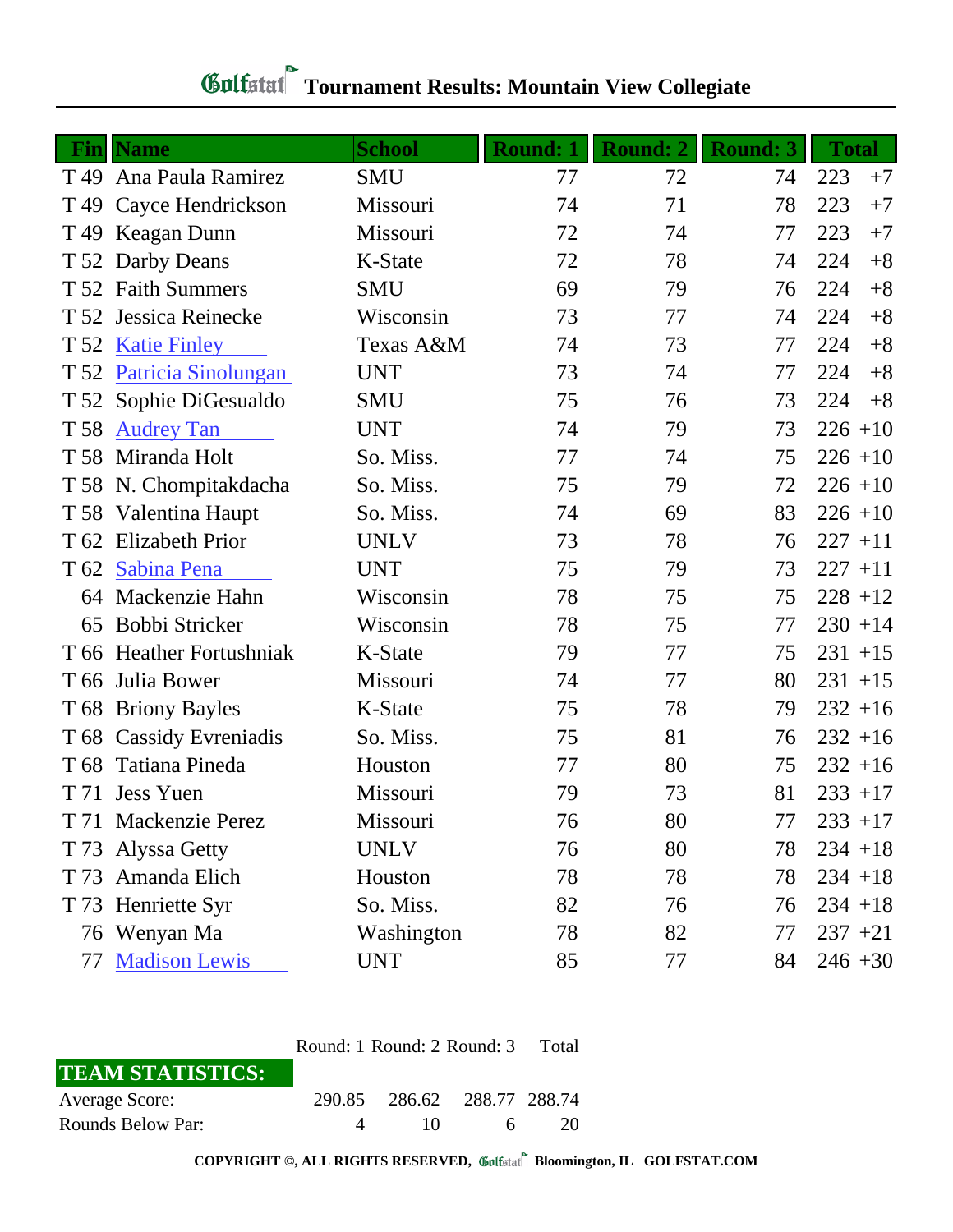## **Tournament Results: Mountain View Collegiate**

|                 | <b>Fin</b> Name          | <b>School</b> | <b>Round: 1</b> | <b>Round: 2</b> | <b>Round: 3</b> | <b>Total</b> |
|-----------------|--------------------------|---------------|-----------------|-----------------|-----------------|--------------|
|                 | T 49 Ana Paula Ramirez   | <b>SMU</b>    | 77              | 72              | 74              | 223<br>$+7$  |
|                 | T 49 Cayce Hendrickson   | Missouri      | 74              | 71              | 78              | 223<br>$+7$  |
|                 | T 49 Keagan Dunn         | Missouri      | 72              | 74              | 77              | 223<br>$+7$  |
|                 | T 52 Darby Deans         | K-State       | 72              | 78              | 74              | 224<br>$+8$  |
|                 | T 52 Faith Summers       | <b>SMU</b>    | 69              | 79              | 76              | 224<br>$+8$  |
| T 52            | Jessica Reinecke         | Wisconsin     | 73              | 77              | 74              | 224<br>$+8$  |
|                 | T 52 Katie Finley        | Texas A&M     | 74              | 73              | 77              | 224<br>$+8$  |
|                 | T 52 Patricia Sinolungan | <b>UNT</b>    | 73              | 74              | 77              | 224<br>$+8$  |
|                 | T 52 Sophie DiGesualdo   | SMU           | 75              | 76              | 73              | 224<br>$+8$  |
| T 58            | <b>Audrey Tan</b>        | <b>UNT</b>    | 74              | 79              | 73              | $226 + 10$   |
|                 | T 58 Miranda Holt        | So. Miss.     | 77              | 74              | 75              | $226 + 10$   |
|                 | T 58 N. Chompitakdacha   | So. Miss.     | 75              | 79              | 72              | $226 + 10$   |
|                 | T 58 Valentina Haupt     | So. Miss.     | 74              | 69              | 83              | $226 + 10$   |
|                 | T 62 Elizabeth Prior     | <b>UNLV</b>   | 73              | 78              | 76              | $227 + 11$   |
|                 | T 62 Sabina Pena         | <b>UNT</b>    | 75              | 79              | 73              | $227 + 11$   |
|                 | 64 Mackenzie Hahn        | Wisconsin     | 78              | 75              | 75              | $228 + 12$   |
| 65              | Bobbi Stricker           | Wisconsin     | 78              | 75              | 77              | $230 + 14$   |
|                 | T 66 Heather Fortushniak | K-State       | 79              | 77              | 75              | $231 + 15$   |
|                 | T 66 Julia Bower         | Missouri      | 74              | 77              | 80              | $231 + 15$   |
|                 | T 68 Briony Bayles       | K-State       | 75              | 78              | 79              | $232 + 16$   |
|                 | T 68 Cassidy Evreniadis  | So. Miss.     | 75              | 81              | 76              | $232 + 16$   |
| T <sub>68</sub> | Tatiana Pineda           | Houston       | 77              | 80              | 75              | $232 + 16$   |
|                 | T 71 Jess Yuen           | Missouri      | 79              | 73              | 81              | $233 + 17$   |
|                 | T 71 Mackenzie Perez     | Missouri      | 76              | 80              | 77              | $233 + 17$   |
|                 | T 73 Alyssa Getty        | <b>UNLV</b>   | 76              | 80              | 78              | $234 + 18$   |
|                 | T 73 Amanda Elich        | Houston       | 78              | 78              | 78              | $234 + 18$   |
|                 | T 73 Henriette Syr       | So. Miss.     | 82              | 76              | 76              | $234 + 18$   |
|                 | 76 Wenyan Ma             | Washington    | 78              | 82              | 77              | $237 + 21$   |
| 77              | <b>Madison Lewis</b>     | <b>UNT</b>    | 85              | 77              | 84              | $246 + 30$   |

|                         | Round: 1 Round: 2 Round: 3 Total |                             |    |    |  |
|-------------------------|----------------------------------|-----------------------------|----|----|--|
| <b>TEAM STATISTICS:</b> |                                  |                             |    |    |  |
| <b>Average Score:</b>   |                                  | 290.85 286.62 288.77 288.74 |    |    |  |
| Rounds Below Par:       | $\Delta$                         | 10 I                        | 6. | 20 |  |

**COPYRIGHT ©, ALL RIGHTS RESERVED, Bloomington, IL GOLFSTAT.COM**